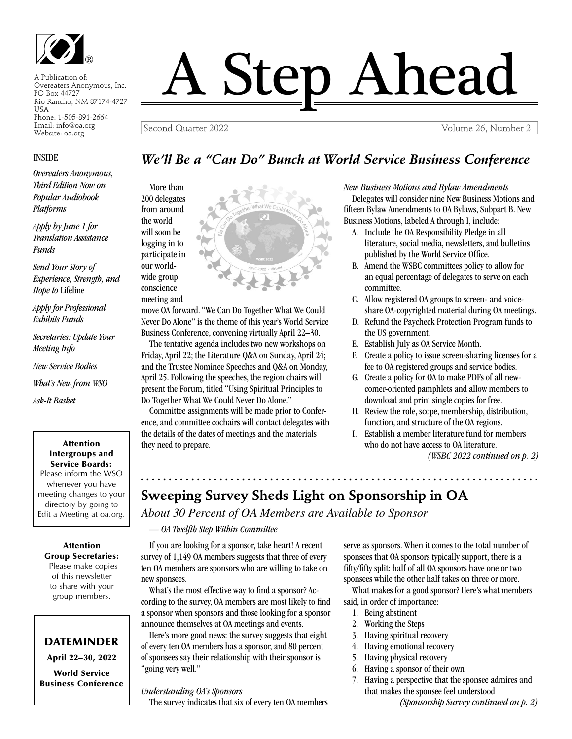

A Publication of: Overeaters Anonymous, Inc. PO Box 44727 Rio Rancho, NM 87174-4727 USA Phone: 1-505-891-2664 Email: info@oa.org Website: oa.org

#### INSIDE

*Overeaters Anonymous, Third Edition Now on Popular Audiobook Platforms*

*Apply by June 1 for Translation Assistance Funds*

*Send Your Story of Experience, Strength, and Hope to* Lifeline

*Apply for Professional Exhibits Funds*

*Secretaries: Update Your Meeting Info*

*New Service Bodies*

*What's New from WSO* 

*Ask-It Basket*

#### Attention Intergroups and Service Boards:

Please inform the WSO whenever you have meeting changes to your directory by going to Edit a Meeting at oa.org.

#### Attention Group Secretaries:

Please make copies of this newsletter to share with your group members.

#### DATEMINDER

April 22–30, 2022

World Service Business Conference

# A Step Ahead

Second Quarter 2022 Volume 26, Number 2

#### *We'll Be a "Can Do" Bunch at World Service Business Conference*

More than 200 delegates from around the world will soon be logging in to participate in our worldwide group conscience meeting and



move OA forward. "We Can Do Together What We Could Never Do Alone" is the theme of this year's World Service Business Conference, convening virtually April 22–30.

The tentative agenda includes two new workshops on Friday, April 22; the Literature Q&A on Sunday, April 24; and the Trustee Nominee Speeches and Q&A on Monday, April 25. Following the speeches, the region chairs will present the Forum, titled "Using Spiritual Principles to Do Together What We Could Never Do Alone."

Committee assignments will be made prior to Conference, and committee cochairs will contact delegates with the details of the dates of meetings and the materials they need to prepare.

*New Business Motions and Bylaw Amendments* Delegates will consider nine New Business Motions and fifteen Bylaw Amendments to OA Bylaws, Subpart B. New Business Motions, labeled A through I, include:

- A. Include the OA Responsibility Pledge in all literature, social media, newsletters, and bulletins published by the World Service Office.
- B. Amend the WSBC committees policy to allow for an equal percentage of delegates to serve on each committee.
- C. Allow registered OA groups to screen- and voiceshare OA-copyrighted material during OA meetings.
- D. Refund the Paycheck Protection Program funds to the US government.
- E. Establish July as OA Service Month.
- F. Create a policy to issue screen-sharing licenses for a fee to OA registered groups and service bodies.
- G. Create a policy for OA to make PDFs of all newcomer-oriented pamphlets and allow members to download and print single copies for free.
- H. Review the role, scope, membership, distribution, function, and structure of the OA regions.
- I. Establish a member literature fund for members who do not have access to OA literature.

*(WSBC 2022 continued on p. 2)* 

#### **Sweeping Survey Sheds Light on Sponsorship in OA**

*About 30 Percent of OA Members are Available to Sponsor*

*— OA Twelfth Step Within Committee*

. . . . . . . . . . . . . .

If you are looking for a sponsor, take heart! A recent survey of 1,149 OA members suggests that three of every ten OA members are sponsors who are willing to take on new sponsees.

What's the most effective way to find a sponsor? According to the survey, OA members are most likely to find a sponsor when sponsors and those looking for a sponsor announce themselves at OA meetings and events.

Here's more good news: the survey suggests that eight of every ten OA members has a sponsor, and 80 percent of sponsees say their relationship with their sponsor is "going very well."

*Understanding OA's Sponsors*

The survey indicates that six of every ten OA members

serve as sponsors. When it comes to the total number of sponsees that OA sponsors typically support, there is a fifty/fifty split: half of all OA sponsors have one or two sponsees while the other half takes on three or more.

What makes for a good sponsor? Here's what members said, in order of importance:

- 1. Being abstinent
- 2. Working the Steps
- 3. Having spiritual recovery
- 4. Having emotional recovery
- 5. Having physical recovery
- 6. Having a sponsor of their own
- 7. Having a perspective that the sponsee admires and that makes the sponsee feel understood

*(Sponsorship Survey continued on p. 2)*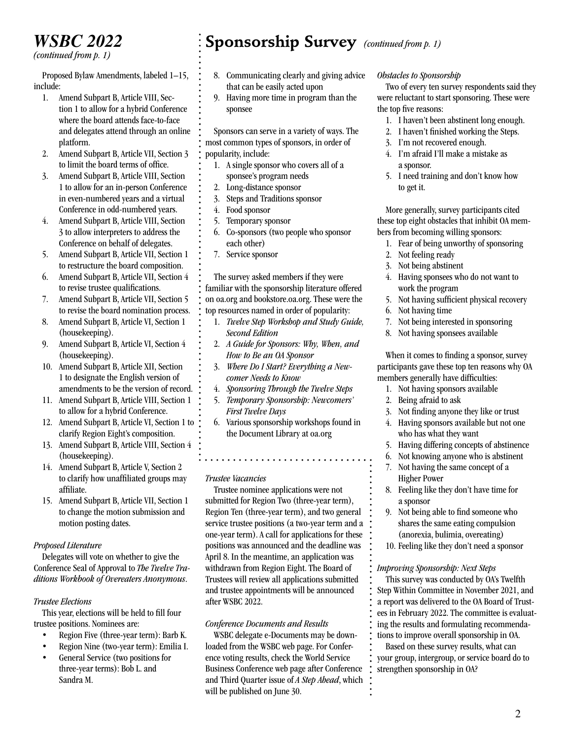# *WSBC 2022*

*(continued from p. 1)*

Proposed Bylaw Amendments, labeled 1–15, include:

- 1. Amend Subpart B, Article VIII, Section 1 to allow for a hybrid Conference where the board attends face-to-face and delegates attend through an online platform.
- 2. Amend Subpart B, Article VII, Section 3 to limit the board terms of office.
- 3. Amend Subpart B, Article VIII, Section 1 to allow for an in-person Conference in even-numbered years and a virtual Conference in odd-numbered years.
- 4. Amend Subpart B, Article VIII, Section 3 to allow interpreters to address the Conference on behalf of delegates.
- 5. Amend Subpart B, Article VII, Section 1 to restructure the board composition.
- 6. Amend Subpart B, Article VII, Section 4 to revise trustee qualifications.
- 7. Amend Subpart B, Article VII, Section 5 to revise the board nomination process.
- 8. Amend Subpart B, Article VI, Section 1 (housekeeping).
- 9. Amend Subpart B, Article VI, Section 4 (housekeeping).
- 10. Amend Subpart B, Article XII, Section 1 to designate the English version of amendments to be the version of record.
- 11. Amend Subpart B, Article VIII, Section 1 to allow for a hybrid Conference.
- 12. Amend Subpart B, Article VI, Section 1 to clarify Region Eight's composition.
- 13. Amend Subpart B, Article VIII, Section 4 (housekeeping).
- 14. Amend Subpart B, Article V, Section 2 to clarify how unaffiliated groups may affiliate.
- 15. Amend Subpart B, Article VII, Section 1 to change the motion submission and motion posting dates.

#### *Proposed Literature*

Delegates will vote on whether to give the Conference Seal of Approval to *The Twelve Traditions Workbook of Overeaters Anonymous*.

#### *Trustee Elections*

This year, elections will be held to fill four trustee positions. Nominees are:

- Region Five (three-year term): Barb K.
- Region Nine (two-year term): Emilia I.
- General Service (two positions for three-year terms): Bob L. and Sandra M.

## **Sponsorship Survey** *(continued from p. 1)*

- 8. Communicating clearly and giving advice that can be easily acted upon
- 9. Having more time in program than the sponsee

Sponsors can serve in a variety of ways. The most common types of sponsors, in order of popularity, include:

- 1. A single sponsor who covers all of a sponsee's program needs
- 2. Long-distance sponsor
- 3. Steps and Traditions sponsor
- 4. Food sponsor
- 5. Temporary sponsor
- 6. Co-sponsors (two people who sponsor each other)
- 7. Service sponsor

The survey asked members if they were familiar with the sponsorship literature offered on oa.org and bookstore.oa.org. These were the top resources named in order of popularity:

- 1. *Twelve Step Workshop and Study Guide, Second Edition*
- 2. *A Guide for Sponsors: Why, When, and How to Be an OA Sponsor*
- 3. *Where Do I Start? Everything a Newcomer Needs to Know*
- 4. *Sponsoring Through the Twelve Steps*
- 5. *Temporary Sponsorship: Newcomers' First Twelve Days*
- 6. Various sponsorship workshops found in the Document Library at oa.org

#### *Trustee Vacancies*

Trustee nominee applications were not submitted for Region Two (three-year term), Region Ten (three-year term), and two general service trustee positions (a two-year term and a one-year term). A call for applications for these positions was announced and the deadline was April 8. In the meantime, an application was withdrawn from Region Eight. The Board of Trustees will review all applications submitted and trustee appointments will be announced after WSBC 2022.

#### *Conference Documents and Results*

WSBC delegate e-Documents may be downloaded from the WSBC web page. For Conference voting results, check the World Service Business Conference web page after Conference and Third Quarter issue of *A Step Ahead*, which will be published on June 30.

#### *Obstacles to Sponsorship*

Two of every ten survey respondents said they were reluctant to start sponsoring. These were the top five reasons:

- 1. I haven't been abstinent long enough.
- 2. I haven't finished working the Steps.
- 3. I'm not recovered enough.
- 4. I'm afraid I'll make a mistake as a sponsor.
- 5. I need training and don't know how to get it.

More generally, survey participants cited these top eight obstacles that inhibit OA members from becoming willing sponsors:

- 1. Fear of being unworthy of sponsoring
- 2. Not feeling ready
- 3. Not being abstinent
- 4. Having sponsees who do not want to work the program
- 5. Not having sufficient physical recovery
- 6. Not having time
- 7. Not being interested in sponsoring
- 8. Not having sponsees available

When it comes to finding a sponsor, survey participants gave these top ten reasons why OA members generally have difficulties:

- 1. Not having sponsors available
- 2. Being afraid to ask
- 3. Not finding anyone they like or trust
- 4. Having sponsors available but not one who has what they want
- 5. Having differing concepts of abstinence
- 6. Not knowing anyone who is abstinent
- 7. Not having the same concept of a Higher Power
- 8. Feeling like they don't have time for a sponsor
- 9. Not being able to find someone who shares the same eating compulsion (anorexia, bulimia, overeating)
- 10. Feeling like they don't need a sponsor

#### *Improving Sponsorship: Next Steps*

This survey was conducted by OA's Twelfth Step Within Committee in November 2021, and a report was delivered to the OA Board of Trustees in February 2022. The committee is evaluating the results and formulating recommendations to improve overall sponsorship in OA.

Based on these survey results, what can your group, intergroup, or service board do to strengthen sponsorship in OA?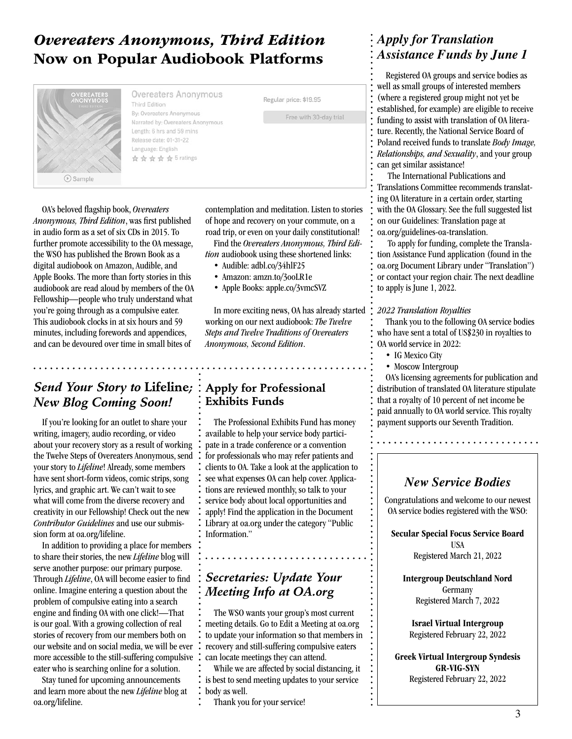### *Overeaters Anonymous, Third Edition* Now on Popular Audiobook Platforms



Overeaters Anonymous **Third Edition** By: Overeaters Anonymous Narrated by: Overeaters Anonymous Length: 6 hrs and 59 mins Release date: 01-31-22 Language: English ☆☆☆☆☆5 ratings

Regular price: \$19.95

Free with 30-day trial

OA's beloved flagship book, *Overeaters Anonymous, Third Edition*, was first published in audio form as a set of six CDs in 2015. To further promote accessibility to the OA message, the WSO has published the Brown Book as a digital audiobook on Amazon, Audible, and Apple Books. The more than forty stories in this audiobook are read aloud by members of the OA Fellowship—people who truly understand what you're going through as a compulsive eater. This audiobook clocks in at six hours and 59 minutes, including forewords and appendices, and can be devoured over time in small bites of

#### *Send Your Story to* **Lifeline***; New Blog Coming Soon!*

If you're looking for an outlet to share your writing, imagery, audio recording, or video about your recovery story as a result of working the Twelve Steps of Overeaters Anonymous, send your story to *Lifeline*! Already, some members have sent short-form videos, comic strips, song lyrics, and graphic art. We can't wait to see what will come from the diverse recovery and creativity in our Fellowship! Check out the new *Contributor Guidelines* and use our submission form at oa.org/lifeline.

In addition to providing a place for members to share their stories, the new *Lifeline* blog will serve another purpose: our primary purpose. Through *Lifeline*, OA will become easier to find online. Imagine entering a question about the problem of compulsive eating into a search engine and finding OA with one click!—That is our goal. With a growing collection of real stories of recovery from our members both on our website and on social media, we will be ever more accessible to the still-suffering compulsive eater who is searching online for a solution.

Stay tuned for upcoming announcements and learn more about the new *Lifeline* blog at oa.org/lifeline.

contemplation and meditation. Listen to stories of hope and recovery on your commute, on a road trip, or even on your daily constitutional!

Find the *Overeaters Anonymous, Third Edition* audiobook using these shortened links:

- Audible: adbl.co/34hlF25
- Amazon: amzn.to/3ooLR1e
- Apple Books: apple.co/3vmcSVZ

In more exciting news, OA has already started working on our next audiobook: *The Twelve Steps and Twelve Traditions of Overeaters Anonymous, Second Edition*.

#### **Apply for Professional Exhibits Funds**

The Professional Exhibits Fund has money available to help your service body participate in a trade conference or a convention for professionals who may refer patients and clients to OA. Take a look at the application to see what expenses OA can help cover. Applications are reviewed monthly, so talk to your service body about local opportunities and apply! Find the application in the Document Library at oa.org under the category "Public Information."

#### *Secretaries: Update Your Meeting Info at OA.org*

. . . . . . . . . . . . .

The WSO wants your group's most current meeting details. Go to Edit a Meeting at oa.org to update your information so that members in recovery and still-suffering compulsive eaters can locate meetings they can attend.

While we are affected by social distancing, it is best to send meeting updates to your service body as well.

Thank you for your service!

#### *Apply for Translation Assistance Funds by June 1*

Registered OA groups and service bodies as well as small groups of interested members (where a registered group might not yet be established, for example) are eligible to receive funding to assist with translation of OA literature. Recently, the National Service Board of Poland received funds to translate *Body Image, Relationships, and Sexuality*, and your group can get similar assistance!

 The International Publications and Translations Committee recommends translating OA literature in a certain order, starting with the OA Glossary. See the full suggested list on our Guidelines: Translation page at oa.org/guidelines-oa-translation.

 To apply for funding, complete the Translation Assistance Fund application (found in the oa.org Document Library under "Translation") or contact your region chair. The next deadline to apply is June 1, 2022.

#### *2022 Translation Royalties*

Thank you to the following OA service bodies who have sent a total of US\$230 in royalties to OA world service in 2022:

- IG Mexico City
- Moscow Intergroup

OA's licensing agreements for publication and distribution of translated OA literature stipulate that a royalty of 10 percent of net income be paid annually to OA world service. This royalty payment supports our Seventh Tradition.

#### *New Service Bodies*

Congratulations and welcome to our newest OA service bodies registered with the WSO:

Secular Special Focus Service Board USA Registered March 21, 2022

Intergroup Deutschland Nord Germany Registered March 7, 2022

Israel Virtual Intergroup Registered February 22, 2022

Greek Virtual Intergroup Syndesis GR-VIG-SYN Registered February 22, 2022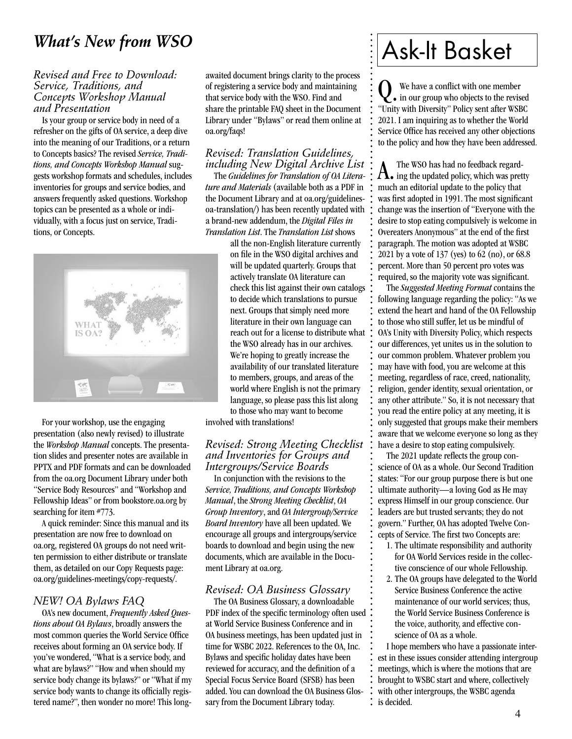### *What's New from WSO*

#### *Revised and Free to Download: Service, Traditions, and Concepts Workshop Manual and Presentation*

Is your group or service body in need of a refresher on the gifts of OA service, a deep dive into the meaning of our Traditions, or a return to Concepts basics? The revised *Service, Traditions, and Concepts Workshop Manual* suggests workshop formats and schedules, includes inventories for groups and service bodies, and answers frequently asked questions. Workshop topics can be presented as a whole or individually, with a focus just on service, Traditions, or Concepts.



For your workshop, use the engaging presentation (also newly revised) to illustrate the *Workshop Manual* concepts. The presentation slides and presenter notes are available in PPTX and PDF formats and can be downloaded from the oa.org Document Library under both "Service Body Resources" and "Workshop and Fellowship Ideas" or from bookstore.oa.org by searching for item #773.

A quick reminder: Since this manual and its presentation are now free to download on oa.org, registered OA groups do not need written permission to either distribute or translate them, as detailed on our Copy Requests page: oa.org/guidelines-meetings/copy-requests/.

#### *NEW! OA Bylaws FAQ*

OA's new document, *Frequently Asked Questions about OA Bylaws*, broadly answers the most common queries the World Service Office receives about forming an OA service body. If you've wondered, "What is a service body, and what are bylaws?" "How and when should my service body change its bylaws?" or "What if my service body wants to change its officially registered name?", then wonder no more! This long-

awaited document brings clarity to the process of registering a service body and maintaining that service body with the WSO. Find and share the printable FAQ sheet in the Document Library under "Bylaws" or read them online at oa.org/faqs!

#### *Revised: Translation Guidelines, including New Digital Archive List*

The *Guidelines for Translation of OA Literature and Materials* (available both as a PDF in the Document Library and at oa.org/guidelinesoa-translation/) has been recently updated with a brand-new addendum, the *Digital Files in Translation List*. The *Translation List* shows

> all the non-English literature currently on file in the WSO digital archives and will be updated quarterly. Groups that actively translate OA literature can check this list against their own catalogs to decide which translations to pursue next. Groups that simply need more literature in their own language can reach out for a license to distribute what the WSO already has in our archives. We're hoping to greatly increase the availability of our translated literature to members, groups, and areas of the world where English is not the primary language, so please pass this list along to those who may want to become

involved with translations!

#### *Revised: Strong Meeting Checklist and Inventories for Groups and Intergroups/Service Boards*

In conjunction with the revisions to the *Service, Traditions, and Concepts Workshop Manual*, the *Strong Meeting Checklist*, *OA Group Inventory*, and *OA Intergroup/Service Board Inventory* have all been updated. We encourage all groups and intergroups/service boards to download and begin using the new documents, which are available in the Document Library at oa.org.

#### *Revised: OA Business Glossary*

The OA Business Glossary, a downloadable PDF index of the specific terminology often used at World Service Business Conference and in OA business meetings, has been updated just in time for WSBC 2022. References to the OA, Inc. Bylaws and specific holiday dates have been reviewed for accuracy, and the definition of a Special Focus Service Board (SFSB) has been added. You can download the OA Business Glossary from the Document Library today.

# Ask-It Basket

We have a conflict with one member<br>in our group who objects to the revised We have a conflict with one member "Unity with Diversity" Policy sent after WSBC 2021. I am inquiring as to whether the World Service Office has received any other objections to the policy and how they have been addressed.

 $\Lambda_{\bullet}$  ing the updated policy, which was pretty much an editorial update to the policy that was first adopted in 1991. The most significant change was the insertion of "Everyone with the desire to stop eating compulsively is welcome in Overeaters Anonymous" at the end of the first paragraph. The motion was adopted at WSBC 2021 by a vote of 137 (yes) to 62 (no), or 68.8 percent. More than 50 percent pro votes was required, so the majority vote was significant.

The *Suggested Meeting Format* contains the following language regarding the policy: "As we extend the heart and hand of the OA Fellowship to those who still suffer, let us be mindful of OA's Unity with Diversity Policy, which respects our differences, yet unites us in the solution to our common problem. Whatever problem you may have with food, you are welcome at this meeting, regardless of race, creed, nationality, religion, gender identity, sexual orientation, or any other attribute." So, it is not necessary that you read the entire policy at any meeting, it is only suggested that groups make their members aware that we welcome everyone so long as they have a desire to stop eating compulsively.

The 2021 update reflects the group conscience of OA as a whole. Our Second Tradition states: "For our group purpose there is but one ultimate authority—a loving God as He may express Himself in our group conscience. Our leaders are but trusted servants; they do not govern." Further, OA has adopted Twelve Concepts of Service. The first two Concepts are:

- 1. The ultimate responsibility and authority for OA World Services reside in the collective conscience of our whole Fellowship.
- 2. The OA groups have delegated to the World Service Business Conference the active maintenance of our world services; thus, the World Service Business Conference is the voice, authority, and effective conscience of OA as a whole.

I hope members who have a passionate interest in these issues consider attending intergroup meetings, which is where the motions that are brought to WSBC start and where, collectively with other intergroups, the WSBC agenda : is decided.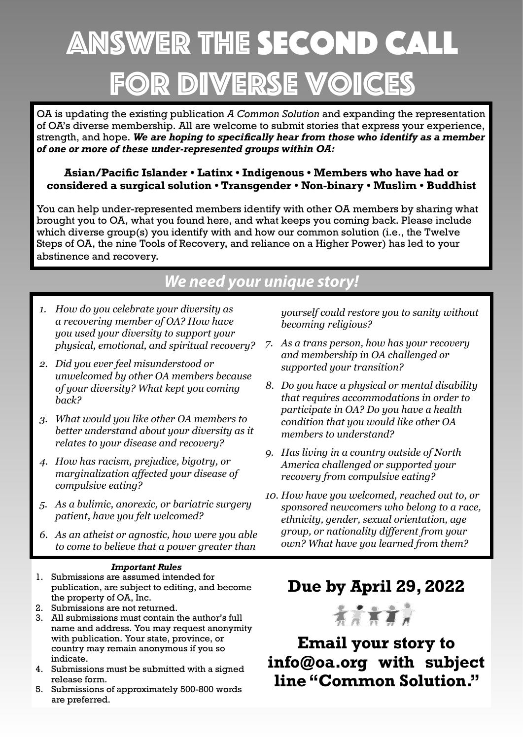# Answer the second Call for diverse voic

OA is updating the existing publication *A Common Solution* and expanding the representation of OA's diverse membership. All are welcome to submit stories that express your experience, strength, and hope. We are hoping to specifically hear from those who identify as a member of one or more of these under-represented groups within OA:

#### Asian/Pacific Islander • Latinx • Indigenous • Members who have had or **considered a surgical solution • Transgender • Non-binary • Muslim • Buddhist**

You can help under-represented members identify with other OA members by sharing what brought you to OA, what you found here, and what keeps you coming back. Please include which diverse group(s) you identify with and how our common solution (i.e., the Twelve Steps of OA, the nine Tools of Recovery, and reliance on a Higher Power) has led to your abstinence and recovery.

# *We need your unique story!*

- *1. How do you celebrate your diversity as a recovering member of OA? How have you used your diversity to support your physical, emotional, and spiritual recovery?*
- *2. Did you ever feel misunderstood or unwelcomed by other OA members because of your diversity? What kept you coming back?*
- *3. What would you like other OA members to better understand about your diversity as it relates to your disease and recovery?*
- *4. How has racism, prejudice, bigotry, or PDUIDRAPHFwarrangalization affected your disease of compulsive eating?*
- *5. As a bulimic, anorexic, or bariatric surgery patient, have you felt welcomed?*
- *6. As an atheist or agnostic, how were you able to come to believe that a power greater than*

#### *Important Rules*

- 1. Submissions are assumed intended for publication, are subject to editing, and become the property of OA, Inc.
- 2. Submissions are not returned.
- 3. All submissions must contain the author's full name and address. You may request anonymity with publication. Your state, province, or country may remain anonymous if you so indicate.
- 4. Submissions must be submitted with a signed release form.
- 5. Submissions of approximately 500-800 words are preferred.

*yourself could restore you to sanity without becoming religious?*

- *7. As a trans person, how has your recovery and membership in OA challenged or supported your transition?*
- *8. Do you have a physical or mental disability that requires accommodations in order to participate in OA? Do you have a health condition that you would like other OA members to understand?*
- *9. Has living in a country outside of North America challenged or supported your recovery from compulsive eating?*
- *10. How have you welcomed, reached out to, or sponsored newcomers who belong to a race, ethnicity, gender, sexual orientation, age group, or nationality different from your own? What have you learned from them?*

# **Due by April 29, 2022**



**Email your story to** info@oa.org with subject **Line "Common Solution."**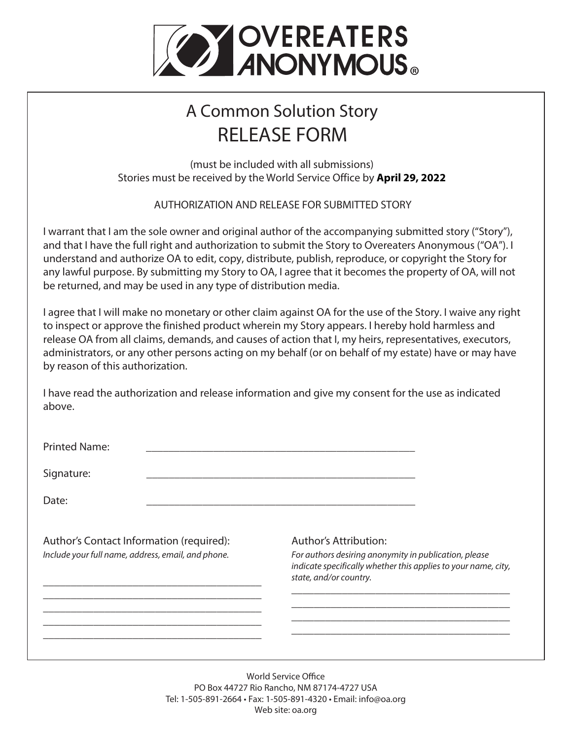

# A Common Solution Story RELEASE FORM

(must be included with all submissions) Stories must be received by the World Service Office by **April 29, 2022** 

AUTHORIZATION AND RELEASE FOR SUBMITTED STORY.

I warrant that I am the sole owner and original author of the accompanying submitted story ("Story"), and that I have the full right and authorization to submit the Story to Overeaters Anonymous ("OA"). I understand and authorize OA to edit, copy, distribute, publish, reproduce, or copyright the Story for any lawful purpose. By submitting my Story to OA, I agree that it becomes the property of OA, will not be returned, and may be used in any type of distribution media.

I agree that I will make no monetary or other claim against OA for the use of the Story. I waive any right to inspect or approve the finished product wherein my Story appears. I hereby hold harmless and release OA from all claims, demands, and causes of action that I, my heirs, representatives, executors, administrators, or any other persons acting on my behalf (or on behalf of my estate) have or may have by reason of this authorization.

I have read the authorization and release information and give my consent for the use as indicated above.

| <b>Printed Name:</b>                               |  |                                                                                                                                                   |
|----------------------------------------------------|--|---------------------------------------------------------------------------------------------------------------------------------------------------|
| Signature:                                         |  |                                                                                                                                                   |
| Date:                                              |  |                                                                                                                                                   |
| Author's Contact Information (required):           |  | <b>Author's Attribution:</b>                                                                                                                      |
| Include your full name, address, email, and phone. |  | For authors desiring anonymity in publication, please<br>indicate specifically whether this applies to your name, city,<br>state, and/or country. |
|                                                    |  |                                                                                                                                                   |
|                                                    |  |                                                                                                                                                   |
|                                                    |  |                                                                                                                                                   |

World Service Office PO Box 44727 Rio Rancho, NM 87174-4727 USA Tel: 1-505-891-2664 • Fax: 1-505-891-4320 • Email: info@oa.org Web site: oa.org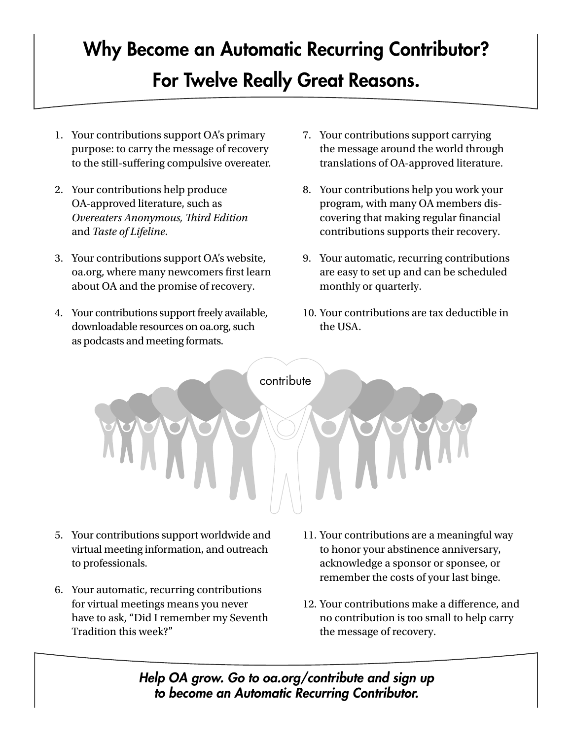# Why Become an Automatic Recurring Contributor? For Twelve Really Great Reasons.

- 1. Your contributions support OA's primary purpose: to carry the message of recovery to the still-suffering compulsive overeater.
- 2. Your contributions help produce OA-approved literature, such as *Overeaters Anonymous, !ird Edition* and *Taste of Lifeline*.
- 3. Your contributions support OA's website, oa.org, where many newcomers first learn about OA and the promise of recovery.
- 4. Your contributions support freely available, downloadable resources on oa.org, such as podcasts and meeting formats.
- 7. Your contributions support carrying the message around the world through translations of OA-approved literature.
- 8. Your contributions help you work your program, with many OA members discovering that making regular financial contributions supports their recovery.
- 9. Your automatic, recurring contributions are easy to set up and can be scheduled monthly or quarterly.
- 10. Your contributions are tax deductible in the USA.



- 5. Your contributions support worldwide and virtual meeting information, and outreach to professionals.
- 6. Your automatic, recurring contributions for virtual meetings means you never have to ask, "Did I remember my Seventh Tradition this week?"
- 11. Your contributions are a meaningful way to honor your abstinence anniversary, acknowledge a sponsor or sponsee, or remember the costs of your last binge.
- 12. Your contributions make a difference, and no contribution is too small to help carry the message of recovery.

*Help OA grow. Go to oa.org/contribute and sign up to become an Automatic Recurring Contributor.*